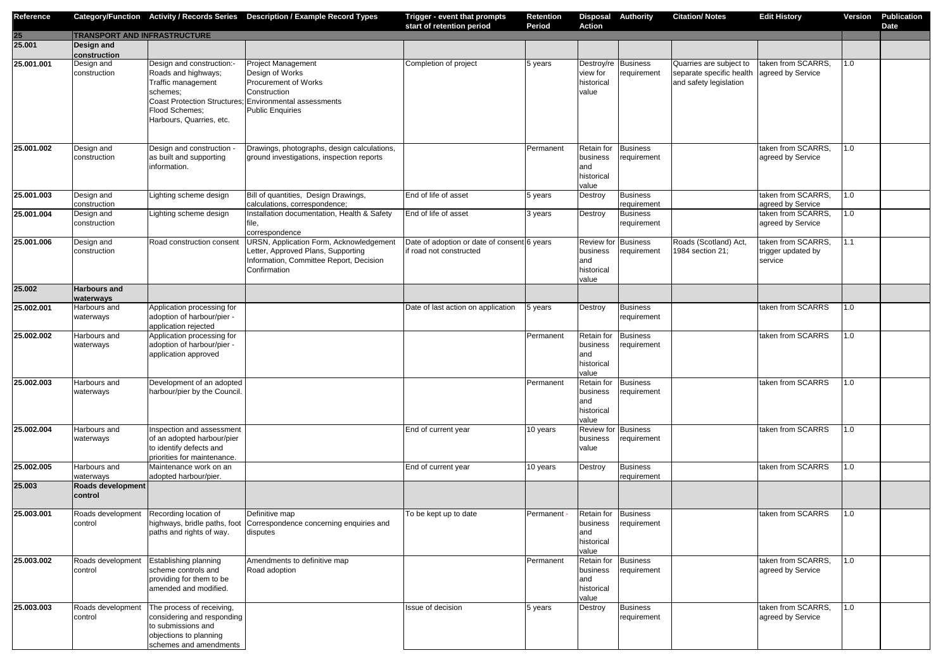| Reference  |                                     |                                                                                                                                   | Category/Function Activity / Records Series Description / Example Record Types                                                                                            | Trigger - event that prompts<br>start of retention period              | <b>Retention</b><br><b>Period</b> | <b>Action</b>                                                        | <b>Disposal Authority</b>      | <b>Citation/Notes</b>                                                         | <b>Edit History</b>                                 | <b>Version</b> | <b>Publication</b><br><b>Date</b> |
|------------|-------------------------------------|-----------------------------------------------------------------------------------------------------------------------------------|---------------------------------------------------------------------------------------------------------------------------------------------------------------------------|------------------------------------------------------------------------|-----------------------------------|----------------------------------------------------------------------|--------------------------------|-------------------------------------------------------------------------------|-----------------------------------------------------|----------------|-----------------------------------|
| 25         | <b>TRANSPORT AND INFRASTRUCTURE</b> |                                                                                                                                   |                                                                                                                                                                           |                                                                        |                                   |                                                                      |                                |                                                                               |                                                     |                |                                   |
| 25.001     | Design and<br>construction          |                                                                                                                                   |                                                                                                                                                                           |                                                                        |                                   |                                                                      |                                |                                                                               |                                                     |                |                                   |
| 25.001.001 | Design and<br>construction          | Design and construction:-<br>Roads and highways;<br>Traffic management<br>schemes:<br>Flood Schemes;<br>Harbours, Quarries, etc.  | <b>Project Management</b><br>Design of Works<br>Procurement of Works<br>Construction<br>Coast Protection Structures; Environmental assessments<br><b>Public Enquiries</b> | Completion of project                                                  | 5 years                           | Destroy/re Business<br>view for<br>historical<br>value               | requirement                    | Quarries are subject to<br>separate specific health<br>and safety legislation | taken from SCARRS,<br>agreed by Service             | 1.0            |                                   |
| 25.001.002 | Design and<br>construction          | Design and construction -<br>as built and supporting<br>information.                                                              | Drawings, photographs, design calculations,<br>ground investigations, inspection reports                                                                                  |                                                                        | Permanent                         | <b>Retain for</b><br>business<br>and<br>historical<br>value          | <b>Business</b><br>requirement |                                                                               | taken from SCARRS,<br>agreed by Service             | 1.0            |                                   |
| 25.001.003 | Design and<br>construction          | Lighting scheme design                                                                                                            | Bill of quantities, Design Drawings,<br>calculations, correspondence;                                                                                                     | End of life of asset                                                   | 5 years                           | Destroy                                                              | <b>Business</b><br>requirement |                                                                               | taken from SCARRS,<br>agreed by Service             | 1.0            |                                   |
| 25.001.004 | Design and<br>construction          | Lighting scheme design                                                                                                            | Installation documentation, Health & Safety<br>correspondence                                                                                                             | End of life of asset                                                   | 3 years                           | Destroy                                                              | <b>Business</b><br>requirement |                                                                               | taken from SCARRS,<br>agreed by Service             | 1.0            |                                   |
| 25.001.006 | Design and<br>construction          | Road construction consent                                                                                                         | URSN, Application Form, Acknowledgement<br>Letter, Approved Plans, Supporting<br>Information, Committee Report, Decision<br>Confirmation                                  | Date of adoption or date of consent 6 years<br>if road not constructed |                                   | <b>Review for Business</b><br>business<br>and<br>historical<br>value | requirement                    | Roads (Scotland) Act,<br>1984 section 21;                                     | taken from SCARRS,<br>trigger updated by<br>service | 1.1            |                                   |
| 25.002     | <b>Harbours and</b><br>waterways    |                                                                                                                                   |                                                                                                                                                                           |                                                                        |                                   |                                                                      |                                |                                                                               |                                                     |                |                                   |
| 25.002.001 | Harbours and<br>waterways           | Application processing for<br>adoption of harbour/pier -<br>application rejected                                                  |                                                                                                                                                                           | Date of last action on application                                     | 5 years                           | Destroy                                                              | <b>Business</b><br>requirement |                                                                               | taken from SCARRS                                   | 1.0            |                                   |
| 25.002.002 | Harbours and<br>waterways           | Application processing for<br>adoption of harbour/pier -<br>application approved                                                  |                                                                                                                                                                           |                                                                        | Permanent                         | Retain for<br>business<br>and<br>historical<br>value                 | <b>Business</b><br>requirement |                                                                               | taken from SCARRS                                   | 1.0            |                                   |
| 25.002.003 | Harbours and<br>waterways           | Development of an adopted<br>harbour/pier by the Council.                                                                         |                                                                                                                                                                           |                                                                        | Permanent                         | <b>Retain for</b><br>business<br>and<br>historical<br>value          | <b>Business</b><br>requirement |                                                                               | taken from SCARRS                                   | 1.0            |                                   |
| 25.002.004 | Harbours and<br>waterways           | Inspection and assessment<br>of an adopted harbour/pier<br>to identify defects and<br>priorities for maintenance.                 |                                                                                                                                                                           | End of current year                                                    | 10 years                          | <b>Review for Business</b><br>business<br>value                      | requirement                    |                                                                               | taken from SCARRS                                   | 1.0            |                                   |
| 25.002.005 | Harbours and<br>waterways           | Maintenance work on an<br>adopted harbour/pier.                                                                                   |                                                                                                                                                                           | End of current year                                                    | 10 years                          | Destroy                                                              | <b>Business</b><br>requirement |                                                                               | taken from SCARRS                                   | 1.0            |                                   |
| 25.003     | Roads development<br>control        |                                                                                                                                   |                                                                                                                                                                           |                                                                        |                                   |                                                                      |                                |                                                                               |                                                     |                |                                   |
| 25.003.001 | Roads development<br>control        | Recording location of<br>paths and rights of way.                                                                                 | Definitive map<br>highways, bridle paths, foot Correspondence concerning enquiries and<br>disputes                                                                        | To be kept up to date                                                  | Permanent                         | <b>Retain for</b><br>business<br>and<br>historical<br>value          | <b>Business</b><br>requirement |                                                                               | taken from SCARRS                                   | 1.0            |                                   |
| 25.003.002 | Roads development<br>control        | Establishing planning<br>scheme controls and<br>providing for them to be<br>amended and modified.                                 | Amendments to definitive map<br>Road adoption                                                                                                                             |                                                                        | Permanent                         | <b>Retain for</b><br>business<br>and<br>historical<br>value          | <b>Business</b><br>requirement |                                                                               | taken from SCARRS,<br>agreed by Service             | 1.0            |                                   |
| 25.003.003 | Roads development<br>control        | The process of receiving,<br>considering and responding<br>to submissions and<br>objections to planning<br>schemes and amendments |                                                                                                                                                                           | Issue of decision                                                      | 5 years                           | Destroy                                                              | <b>Business</b><br>requirement |                                                                               | taken from SCARRS,<br>agreed by Service             | 1.0            |                                   |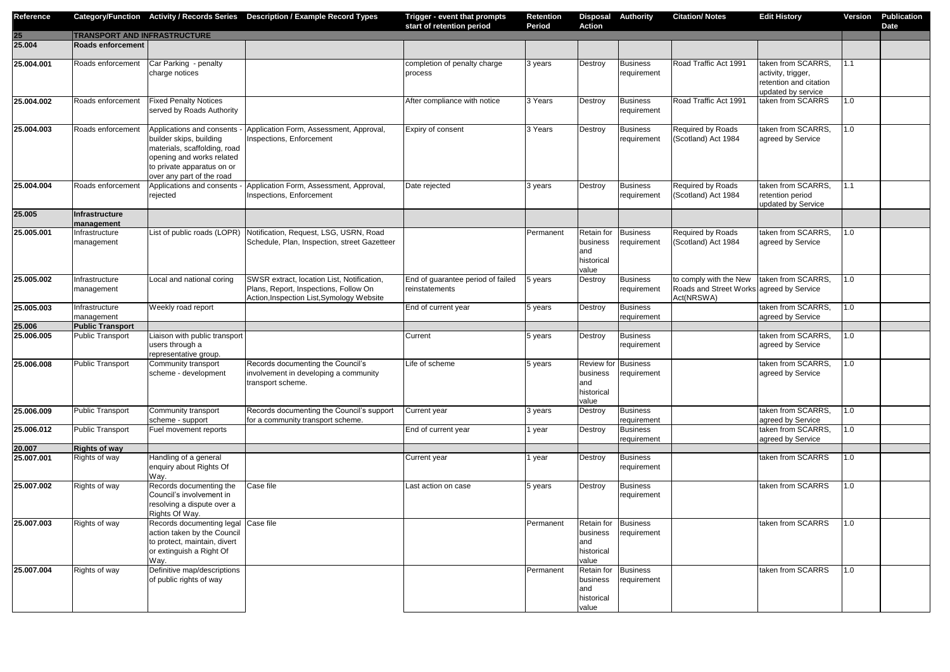| Reference        |                              |                                                                                                                                                                              | Category/Function Activity / Records Series Description / Example Record Types                                                   | Trigger - event that prompts<br>start of retention period | <b>Retention</b><br><b>Period</b> | <b>Action</b>                                                        | <b>Disposal Authority</b>          | <b>Citation/ Notes</b>                                                           | <b>Edit History</b>                                                                      | <b>Version</b> | <b>Publication</b><br><b>Date</b> |
|------------------|------------------------------|------------------------------------------------------------------------------------------------------------------------------------------------------------------------------|----------------------------------------------------------------------------------------------------------------------------------|-----------------------------------------------------------|-----------------------------------|----------------------------------------------------------------------|------------------------------------|----------------------------------------------------------------------------------|------------------------------------------------------------------------------------------|----------------|-----------------------------------|
| $25\overline{)}$ | TRANSPORT AND INFRASTRUCTURE |                                                                                                                                                                              |                                                                                                                                  |                                                           |                                   |                                                                      |                                    |                                                                                  |                                                                                          |                |                                   |
| 25.004           | <b>Roads enforcement</b>     |                                                                                                                                                                              |                                                                                                                                  |                                                           |                                   |                                                                      |                                    |                                                                                  |                                                                                          |                |                                   |
| 25.004.001       | Roads enforcement            | Car Parking - penalty<br>charge notices                                                                                                                                      |                                                                                                                                  | completion of penalty charge<br>process                   | 3 years                           | Destroy                                                              | <b>Business</b><br>requirement     | Road Traffic Act 1991                                                            | taken from SCARRS,<br>activity, trigger,<br>retention and citation<br>updated by service | 1.1            |                                   |
| 25.004.002       | Roads enforcement            | <b>Fixed Penalty Notices</b><br>served by Roads Authority                                                                                                                    |                                                                                                                                  | After compliance with notice                              | 3 Years                           | Destroy                                                              | <b>Business</b><br>requirement     | Road Traffic Act 1991                                                            | taken from SCARRS                                                                        | 1.0            |                                   |
| 25.004.003       | Roads enforcement            | Applications and consents<br>builder skips, building<br>materials, scaffolding, road<br>opening and works related<br>to private apparatus on or<br>over any part of the road | Application Form, Assessment, Approval,<br>Inspections, Enforcement                                                              | Expiry of consent                                         | 3 Years                           | Destroy                                                              | <b>Business</b><br>requirement     | Required by Roads<br>(Scotland) Act 1984                                         | taken from SCARRS,<br>agreed by Service                                                  | 1.0            |                                   |
| 25.004.004       | Roads enforcemen             | Applications and consents<br>rejected                                                                                                                                        | Application Form, Assessment, Approval,<br>Inspections, Enforcement                                                              | Date rejected                                             | 3 years                           | Destroy                                                              | <b>Business</b><br>requirement     | Required by Roads<br>(Scotland) Act 1984                                         | taken from SCARRS,<br>retention period<br>updated by Service                             | 1.1            |                                   |
| 25.005           | Infrastructure<br>management |                                                                                                                                                                              |                                                                                                                                  |                                                           |                                   |                                                                      |                                    |                                                                                  |                                                                                          |                |                                   |
| 25.005.001       | Infrastructure<br>management | List of public roads (LOPR)                                                                                                                                                  | Notification, Request, LSG, USRN, Road<br>Schedule, Plan, Inspection, street Gazetteer                                           |                                                           | Permanent                         | Retain for<br>business<br>and<br>historical<br>value                 | <b>Business</b><br>requirement     | Required by Roads<br>(Scotland) Act 1984                                         | taken from SCARRS,<br>agreed by Service                                                  | 1.0            |                                   |
| 25.005.002       | Infrastructure<br>management | Local and national coring                                                                                                                                                    | SWSR extract, location List, Notification,<br>Plans, Report, Inspections, Follow On<br>Action, Inspection List, Symology Website | End of guarantee period of failed<br>reinstatements       | 5 years                           | Destroy                                                              | <b>Business</b><br>requirement     | to comply with the New<br>Roads and Street Works agreed by Service<br>Act(NRSWA) | taken from SCARRS,                                                                       | 1.0            |                                   |
| 25.005.003       | Infrastructure<br>management | Weekly road report                                                                                                                                                           |                                                                                                                                  | End of current year                                       | 5 years                           | Destroy                                                              | <b>Business</b><br>requirement     |                                                                                  | taken from SCARRS,<br>agreed by Service                                                  | 1.0            |                                   |
| 25.006           | <b>Public Transport</b>      |                                                                                                                                                                              |                                                                                                                                  |                                                           |                                   |                                                                      |                                    |                                                                                  |                                                                                          |                |                                   |
| 25.006.005       | <b>Public Transport</b>      | Liaison with public transport<br>users through a<br>representative group.                                                                                                    |                                                                                                                                  | Current                                                   | 5 years                           | Destroy                                                              | <b>Business</b><br>requirement     |                                                                                  | taken from SCARRS,<br>agreed by Service                                                  | 1.0            |                                   |
| 25.006.008       | <b>Public Transport</b>      | Community transport<br>scheme - development                                                                                                                                  | Records documenting the Council's<br>involvement in developing a community<br>transport scheme.                                  | Life of scheme                                            | 5 years                           | <b>Review for Business</b><br>business<br>and<br>historical<br>value | requirement                        |                                                                                  | taken from SCARRS,<br>agreed by Service                                                  | 1.0            |                                   |
| 25.006.009       | <b>Public Transport</b>      | Community transport<br>scheme - support                                                                                                                                      | Records documenting the Council's support<br>for a community transport scheme.                                                   | Current year                                              | 3 years                           | Destroy                                                              | <b>Business</b><br>requirement     |                                                                                  | taken from SCARRS,<br>agreed by Service                                                  | 1.0            |                                   |
| 25.006.012       | <b>Public Transport</b>      | Fuel movement reports                                                                                                                                                        |                                                                                                                                  | End of current year                                       | 1 year                            | Destroy                                                              | <b>Business</b><br>requirement     |                                                                                  | taken from SCARRS,<br>agreed by Service                                                  | 1.0            |                                   |
| 20.007           | <b>Rights of way</b>         |                                                                                                                                                                              |                                                                                                                                  |                                                           |                                   |                                                                      |                                    |                                                                                  |                                                                                          |                |                                   |
| 25.007.001       | Rights of way                | Handling of a general<br>enquiry about Rights Of<br>Way.                                                                                                                     |                                                                                                                                  | Current year                                              | 1 year                            | Destroy                                                              | <b>Business</b><br>requirement     |                                                                                  | taken from SCARRS                                                                        | 1.0            |                                   |
| 25.007.002       | Rights of way                | Records documenting the<br>Council's involvement in<br>resolving a dispute over a<br>Rights Of Way.                                                                          | Case file                                                                                                                        | Last action on case                                       | 5 years                           | Destroy                                                              | <b>Business</b><br>requirement     |                                                                                  | taken from SCARRS                                                                        | 1.0            |                                   |
| 25.007.003       | Rights of way                | Records documenting legal Case file<br>action taken by the Council<br>to protect, maintain, divert<br>or extinguish a Right Of<br>Way.                                       |                                                                                                                                  |                                                           | Permanent                         | business<br>and<br>historical<br>value                               | Retain for Business<br>requirement |                                                                                  | taken from SCARRS                                                                        | 1.0            |                                   |
| 25.007.004       | Rights of way                | Definitive map/descriptions<br>of public rights of way                                                                                                                       |                                                                                                                                  |                                                           | Permanent                         | Retain for Business<br>business<br>and<br>historical<br>value        | requirement                        |                                                                                  | taken from SCARRS                                                                        | 1.0            |                                   |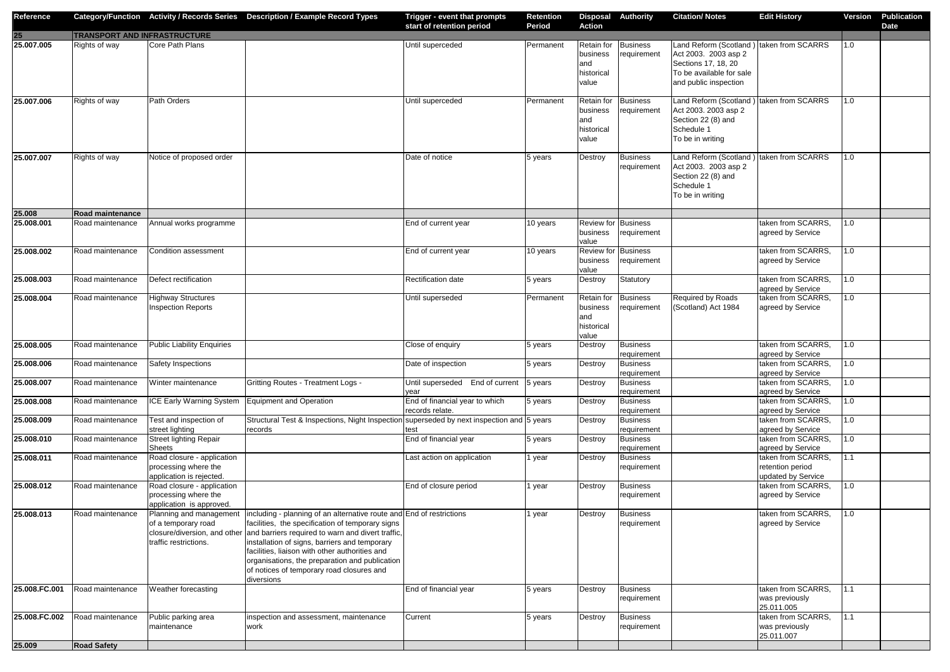| Reference     |                                     |                                                                                | Category/Function Activity / Records Series Description / Example Record Types                                                                                                                                                                                                                                                                                                                                             | Trigger - event that prompts<br>start of retention period | <b>Retention</b><br><b>Period</b> | <b>Action</b>                                        | <b>Disposal Authority</b>      | <b>Citation/Notes</b>                                                                                                                        | <b>Edit History</b>                                              | Version | <b>Publication</b><br><b>Date</b> |
|---------------|-------------------------------------|--------------------------------------------------------------------------------|----------------------------------------------------------------------------------------------------------------------------------------------------------------------------------------------------------------------------------------------------------------------------------------------------------------------------------------------------------------------------------------------------------------------------|-----------------------------------------------------------|-----------------------------------|------------------------------------------------------|--------------------------------|----------------------------------------------------------------------------------------------------------------------------------------------|------------------------------------------------------------------|---------|-----------------------------------|
| 25            | <b>TRANSPORT AND INFRASTRUCTURE</b> |                                                                                |                                                                                                                                                                                                                                                                                                                                                                                                                            |                                                           |                                   |                                                      |                                |                                                                                                                                              |                                                                  |         |                                   |
| 25.007.005    | Rights of way                       | Core Path Plans                                                                |                                                                                                                                                                                                                                                                                                                                                                                                                            | Until superceded                                          | Permanent                         | Retain for<br>business<br>and<br>historical<br>value | <b>Business</b><br>requirement | Land Reform (Scotland) taken from SCARRS<br>Act 2003. 2003 asp 2<br>Sections 17, 18, 20<br>To be available for sale<br>and public inspection |                                                                  | 1.0     |                                   |
| 25.007.006    | Rights of way                       | Path Orders                                                                    |                                                                                                                                                                                                                                                                                                                                                                                                                            | Until superceded                                          | Permanent                         | Retain for<br>business<br>and<br>historical<br>value | <b>Business</b><br>requirement | Land Reform (Scotland<br>Act 2003. 2003 asp 2<br>Section 22 (8) and<br>Schedule 1<br>To be in writing                                        | taken from SCARRS                                                | 1.0     |                                   |
| 25.007.007    | Rights of way                       | Notice of proposed order                                                       |                                                                                                                                                                                                                                                                                                                                                                                                                            | Date of notice                                            | 5 years                           | Destroy                                              | <b>Business</b><br>requirement | Land Reform (Scotland) taken from SCARRS<br>Act 2003. 2003 asp 2<br>Section 22 (8) and<br>Schedule 1<br>To be in writing                     |                                                                  | 1.0     |                                   |
| 25.008        | <b>Road maintenance</b>             |                                                                                |                                                                                                                                                                                                                                                                                                                                                                                                                            |                                                           |                                   |                                                      |                                |                                                                                                                                              |                                                                  |         |                                   |
| 25.008.001    | Road maintenance                    | Annual works programme                                                         |                                                                                                                                                                                                                                                                                                                                                                                                                            | End of current year                                       | 10 years                          | <b>Review for Business</b><br>business<br>value      | requirement                    |                                                                                                                                              | taken from SCARRS,<br>agreed by Service                          | 1.0     |                                   |
| 25.008.002    | Road maintenance                    | Condition assessment                                                           |                                                                                                                                                                                                                                                                                                                                                                                                                            | End of current year                                       | 10 years                          | <b>Review for Business</b><br>business<br>value      | requirement                    |                                                                                                                                              | taken from SCARRS,<br>agreed by Service                          | 1.0     |                                   |
| 25.008.003    | Road maintenance                    | Defect rectification                                                           |                                                                                                                                                                                                                                                                                                                                                                                                                            | Rectification date                                        | 5 years                           | Destroy                                              | Statutory                      |                                                                                                                                              | taken from SCARRS,<br>agreed by Service                          | 1.0     |                                   |
| 25.008.004    | Road maintenance                    | <b>Highway Structures</b><br><b>Inspection Reports</b>                         |                                                                                                                                                                                                                                                                                                                                                                                                                            | Until superseded                                          | Permanent                         | Retain for<br>business<br>and<br>historical<br>value | <b>Business</b><br>requirement | Required by Roads<br>(Scotland) Act 1984                                                                                                     | taken from SCARRS,<br>agreed by Service                          | 1.0     |                                   |
| 25.008.005    | Road maintenance                    | <b>Public Liability Enquiries</b>                                              |                                                                                                                                                                                                                                                                                                                                                                                                                            | Close of enquiry                                          | 5 years                           | Destroy                                              | <b>Business</b><br>requirement |                                                                                                                                              | taken from SCARRS,<br>agreed by Service                          | 1.0     |                                   |
| 25.008.006    | Road maintenance                    | Safety Inspections                                                             |                                                                                                                                                                                                                                                                                                                                                                                                                            | Date of inspection                                        | 5 years                           | Destroy                                              | <b>Business</b><br>requirement |                                                                                                                                              | taken from SCARRS,<br>agreed by Service                          | 1.0     |                                   |
| 25.008.007    | Road maintenance                    | Winter maintenance                                                             | Gritting Routes - Treatment Logs -                                                                                                                                                                                                                                                                                                                                                                                         | Until superseded End of current<br>year                   | 5 years                           | Destroy                                              | <b>Business</b><br>requirement |                                                                                                                                              | taken from SCARRS,<br>agreed by Service                          | 1.0     |                                   |
| 25.008.008    | Road maintenance                    | ICE Early Warning System                                                       | Equipment and Operation                                                                                                                                                                                                                                                                                                                                                                                                    | End of financial year to which<br>records relate.         | 5 years                           | Destroy                                              | <b>Business</b><br>requirement |                                                                                                                                              | taken from SCARRS,<br>agreed by Service                          | 1.0     |                                   |
| 25.008.009    | Road maintenance                    | Test and inspection of<br>street lighting                                      | Structural Test & Inspections, Night Inspection superseded by next inspection and 5 years<br>records                                                                                                                                                                                                                                                                                                                       | test                                                      |                                   | Destroy                                              | <b>Business</b><br>requirement |                                                                                                                                              | taken from SCARRS,<br>agreed by Service                          | 1.0     |                                   |
| 25.008.010    | Road maintenance                    | <b>Street lighting Repair</b><br><b>Sheets</b>                                 |                                                                                                                                                                                                                                                                                                                                                                                                                            | End of financial year                                     | 5 years                           | Destroy                                              | <b>Business</b><br>requirement |                                                                                                                                              | taken from SCARRS,<br>agreed by Service                          | 1.0     |                                   |
| 25.008.011    | Road maintenance                    | Road closure - application                                                     |                                                                                                                                                                                                                                                                                                                                                                                                                            | Last action on application                                | 1 year                            | Destroy                                              | <b>Business</b>                |                                                                                                                                              | taken from SCARRS,                                               | 1.1     |                                   |
|               |                                     | processing where the<br>application is rejected.                               |                                                                                                                                                                                                                                                                                                                                                                                                                            |                                                           |                                   |                                                      | requirement                    |                                                                                                                                              | retention period<br>updated by Service                           |         |                                   |
| 25.008.012    | Road maintenance                    | Road closure - application<br>processing where the<br>application is approved. |                                                                                                                                                                                                                                                                                                                                                                                                                            | End of closure period                                     | 1 year                            | Destroy                                              | <b>Business</b><br>requirement |                                                                                                                                              | taken from SCARRS,<br>agreed by Service                          | 1.0     |                                   |
| 25.008.013    | Road maintenance                    | Planning and management<br>of a temporary road<br>traffic restrictions.        | including - planning of an alternative route and End of restrictions<br>facilities, the specification of temporary signs<br>closure/diversion, and other and barriers required to warn and divert traffic,<br>installation of signs, barriers and temporary<br>facilities, liaison with other authorities and<br>organisations, the preparation and publication<br>of notices of temporary road closures and<br>diversions |                                                           | 1 year                            | Destroy                                              | <b>Business</b><br>requirement |                                                                                                                                              | taken from SCARRS,<br>agreed by Service                          | 1.0     |                                   |
| 25.008.FC.001 | Road maintenance                    | Weather forecasting                                                            |                                                                                                                                                                                                                                                                                                                                                                                                                            | End of financial year                                     | 5 years                           | Destroy                                              | <b>Business</b><br>requirement |                                                                                                                                              | taken from SCARRS,<br>was previously                             | 1.1     |                                   |
| 25.008.FC.002 | Road maintenance                    | Public parking area<br>maintenance                                             | inspection and assessment, maintenance<br>work                                                                                                                                                                                                                                                                                                                                                                             | Current                                                   | 5 years                           | Destroy                                              | <b>Business</b><br>requirement |                                                                                                                                              | 25.011.005<br>taken from SCARRS,<br>was previously<br>25.011.007 | 1.1     |                                   |
| 25.009        | <b>Road Safety</b>                  |                                                                                |                                                                                                                                                                                                                                                                                                                                                                                                                            |                                                           |                                   |                                                      |                                |                                                                                                                                              |                                                                  |         |                                   |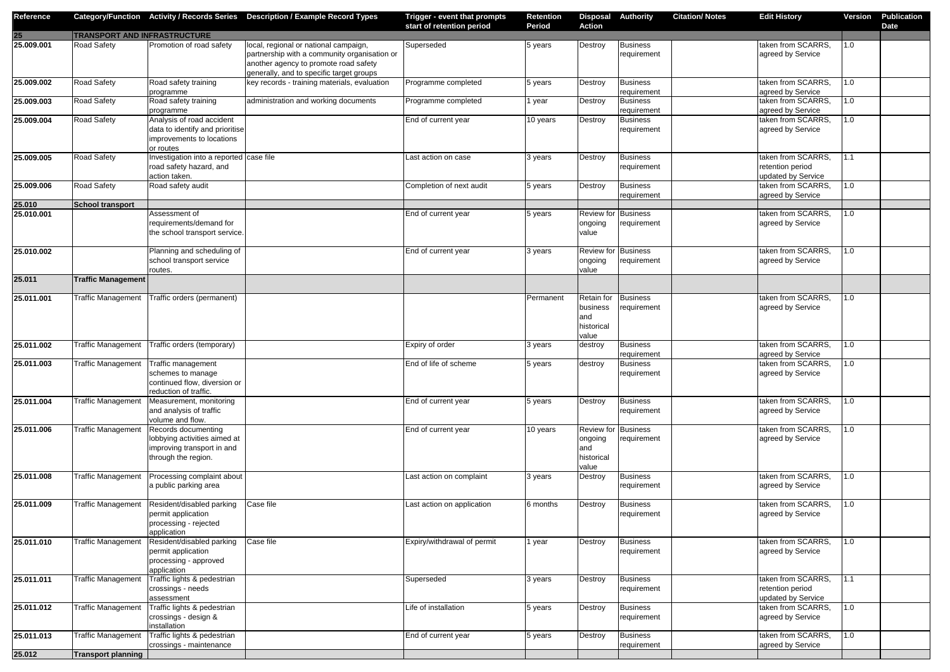| Reference  |                                       |                                         | Category/Function Activity / Records Series Description / Example Record Types           | Trigger - event that prompts<br>start of retention period | <b>Retention</b><br><b>Period</b> | <b>Disposal Authority</b><br><b>Action</b> |                 | <b>Citation/Notes</b> | <b>Edit History</b> | <b>Version</b> | <b>Publication</b><br><b>Date</b> |
|------------|---------------------------------------|-----------------------------------------|------------------------------------------------------------------------------------------|-----------------------------------------------------------|-----------------------------------|--------------------------------------------|-----------------|-----------------------|---------------------|----------------|-----------------------------------|
| 25         | <b>TRANSPORT AND INFRASTRUCTURE</b>   |                                         |                                                                                          |                                                           |                                   |                                            |                 |                       |                     |                |                                   |
| 25.009.001 | <b>Road Safety</b>                    | Promotion of road safety                | local, regional or national campaign,                                                    | Superseded                                                | 5 years                           | Destroy                                    | <b>Business</b> |                       | taken from SCARRS,  | 1.0            |                                   |
|            |                                       |                                         | partnership with a community organisation or                                             |                                                           |                                   |                                            | requirement     |                       | agreed by Service   |                |                                   |
|            |                                       |                                         | another agency to promote road safety                                                    |                                                           |                                   |                                            |                 |                       |                     |                |                                   |
| 25.009.002 | <b>Road Safety</b>                    | Road safety training                    | generally, and to specific target groups<br>key records - training materials, evaluation | Programme completed                                       |                                   |                                            | <b>Business</b> |                       | taken from SCARRS,  | 1.0            |                                   |
|            |                                       | programme                               |                                                                                          |                                                           | 5 years                           | Destroy                                    | requirement     |                       | agreed by Service   |                |                                   |
| 25.009.003 | <b>Road Safety</b>                    | Road safety training                    | administration and working documents                                                     | Programme completed                                       | 1 year                            | Destroy                                    | <b>Business</b> |                       | taken from SCARRS,  | 1.0            |                                   |
|            |                                       | programme                               |                                                                                          |                                                           |                                   |                                            | requirement     |                       | agreed by Service   |                |                                   |
| 25.009.004 | <b>Road Safety</b>                    | Analysis of road accident               |                                                                                          | End of current year                                       | 10 years                          | Destroy                                    | <b>Business</b> |                       | taken from SCARRS,  | 1.0            |                                   |
|            |                                       | data to identify and prioritise         |                                                                                          |                                                           |                                   |                                            | requirement     |                       | agreed by Service   |                |                                   |
|            |                                       | improvements to locations               |                                                                                          |                                                           |                                   |                                            |                 |                       |                     |                |                                   |
|            |                                       | or routes                               |                                                                                          |                                                           |                                   |                                            |                 |                       |                     |                |                                   |
| 25.009.005 | Road Safety                           | Investigation into a reported case file |                                                                                          | Last action on case                                       | 3 years                           | Destroy                                    | <b>Business</b> |                       | taken from SCARRS,  | 1.1            |                                   |
|            |                                       | road safety hazard, and                 |                                                                                          |                                                           |                                   |                                            | requirement     |                       | retention period    |                |                                   |
|            |                                       | action taken.                           |                                                                                          |                                                           |                                   |                                            |                 |                       | updated by Service  |                |                                   |
| 25.009.006 | <b>Road Safety</b>                    | Road safety audit                       |                                                                                          | Completion of next audit                                  | 5 years                           | Destroy                                    | <b>Business</b> |                       | taken from SCARRS,  | 1.0            |                                   |
|            |                                       |                                         |                                                                                          |                                                           |                                   |                                            | requirement     |                       | agreed by Service   |                |                                   |
| 25.010     | School transport                      |                                         |                                                                                          |                                                           |                                   |                                            |                 |                       |                     |                |                                   |
| 25.010.001 |                                       | Assessment of                           |                                                                                          | End of current year                                       | 5 years                           | <b>Review for Business</b>                 |                 |                       | taken from SCARRS,  | 1.0            |                                   |
|            |                                       | requirements/demand for                 |                                                                                          |                                                           |                                   | ongoing                                    | requirement     |                       | agreed by Service   |                |                                   |
|            |                                       | the school transport service.           |                                                                                          |                                                           |                                   | value                                      |                 |                       |                     |                |                                   |
|            |                                       |                                         |                                                                                          |                                                           |                                   |                                            |                 |                       |                     |                |                                   |
| 25.010.002 |                                       | Planning and scheduling of              |                                                                                          | End of current year                                       | 3 years                           | <b>Review for Business</b>                 |                 |                       | taken from SCARRS,  | $1.0\,$        |                                   |
|            |                                       | school transport service                |                                                                                          |                                                           |                                   | ongoing<br>value                           | requirement     |                       | agreed by Service   |                |                                   |
| 25.011     | <b>Traffic Management</b>             | routes.                                 |                                                                                          |                                                           |                                   |                                            |                 |                       |                     |                |                                   |
|            |                                       |                                         |                                                                                          |                                                           |                                   |                                            |                 |                       |                     |                |                                   |
| 25.011.001 | <b>Traffic Management</b>             | Traffic orders (permanent)              |                                                                                          |                                                           | Permanent                         | Retain for                                 | <b>Business</b> |                       | taken from SCARRS,  | 1.0            |                                   |
|            |                                       |                                         |                                                                                          |                                                           |                                   | business                                   | requirement     |                       | agreed by Service   |                |                                   |
|            |                                       |                                         |                                                                                          |                                                           |                                   | and                                        |                 |                       |                     |                |                                   |
|            |                                       |                                         |                                                                                          |                                                           |                                   | historical                                 |                 |                       |                     |                |                                   |
|            |                                       |                                         |                                                                                          |                                                           |                                   | value                                      |                 |                       |                     |                |                                   |
| 25.011.002 | <b>Traffic Management</b>             | Traffic orders (temporary)              |                                                                                          | Expiry of order                                           | 3 years                           | destroy                                    | <b>Business</b> |                       | taken from SCARRS,  | 1.0            |                                   |
|            |                                       |                                         |                                                                                          |                                                           |                                   |                                            | requirement     |                       | agreed by Service   |                |                                   |
| 25.011.003 | Traffic Management Traffic management |                                         |                                                                                          | End of life of scheme                                     | 5 years                           | destroy                                    | <b>Business</b> |                       | taken from SCARRS,  | 1.0            |                                   |
|            |                                       | schemes to manage                       |                                                                                          |                                                           |                                   |                                            | requirement     |                       | agreed by Service   |                |                                   |
|            |                                       | continued flow, diversion or            |                                                                                          |                                                           |                                   |                                            |                 |                       |                     |                |                                   |
|            |                                       | reduction of traffic.                   |                                                                                          |                                                           |                                   |                                            |                 |                       |                     |                |                                   |
| 25.011.004 | Traffic Management                    | Measurement, monitoring                 |                                                                                          | End of current year                                       | 5 years                           | Destroy                                    | <b>Business</b> |                       | taken from SCARRS,  | 1.0            |                                   |
|            |                                       | and analysis of traffic                 |                                                                                          |                                                           |                                   |                                            | requirement     |                       | agreed by Service   |                |                                   |
|            |                                       | volume and flow.                        |                                                                                          |                                                           |                                   |                                            |                 |                       |                     |                |                                   |
| 25.011.006 | <b>Traffic Management</b>             | Records documenting                     |                                                                                          | End of current year                                       | 10 years                          | <b>Review for Business</b>                 |                 |                       | taken from SCARRS,  | 1.0            |                                   |
|            |                                       | lobbying activities aimed at            |                                                                                          |                                                           |                                   | ongoing                                    | requirement     |                       | agreed by Service   |                |                                   |
|            |                                       | improving transport in and              |                                                                                          |                                                           |                                   | and                                        |                 |                       |                     |                |                                   |
|            |                                       | through the region.                     |                                                                                          |                                                           |                                   | historical                                 |                 |                       |                     |                |                                   |
|            |                                       |                                         |                                                                                          |                                                           |                                   | value                                      |                 |                       |                     |                |                                   |
| 25.011.008 | <b>Traffic Management</b>             | Processing complaint about              |                                                                                          | Last action on complaint                                  | 3 years                           | Destroy                                    | <b>Business</b> |                       | taken from SCARRS,  | 1.0            |                                   |
|            |                                       | a public parking area                   |                                                                                          |                                                           |                                   |                                            | requirement     |                       | agreed by Service   |                |                                   |
| 25.011.009 | <b>Traffic Management</b>             | Resident/disabled parking               | Case file                                                                                | Last action on application                                | 6 months                          | Destroy                                    | <b>Business</b> |                       | taken from SCARRS,  | 1.0            |                                   |
|            |                                       | permit application                      |                                                                                          |                                                           |                                   |                                            | requirement     |                       | agreed by Service   |                |                                   |
|            |                                       | processing - rejected                   |                                                                                          |                                                           |                                   |                                            |                 |                       |                     |                |                                   |
|            |                                       | application                             |                                                                                          |                                                           |                                   |                                            |                 |                       |                     |                |                                   |
| 25.011.010 | <b>Traffic Managemer</b>              | Resident/disabled parking               | Case file                                                                                | Expiry/withdrawal of permit                               | 1 year                            | Destroy                                    | <b>Business</b> |                       | taken from SCARRS,  | 1.0            |                                   |
|            |                                       | permit application                      |                                                                                          |                                                           |                                   |                                            | requirement     |                       | agreed by Service   |                |                                   |
|            |                                       | processing - approved                   |                                                                                          |                                                           |                                   |                                            |                 |                       |                     |                |                                   |
|            |                                       | application                             |                                                                                          |                                                           |                                   |                                            |                 |                       |                     |                |                                   |
| 25.011.011 | Traffic Managemen                     | Traffic lights & pedestrian             |                                                                                          | Superseded                                                | 3 years                           | Destroy                                    | <b>Business</b> |                       | taken from SCARRS,  | 1.1            |                                   |
|            |                                       | crossings - needs                       |                                                                                          |                                                           |                                   |                                            | requirement     |                       | retention period    |                |                                   |
|            |                                       | assessment                              |                                                                                          |                                                           |                                   |                                            |                 |                       | updated by Service  |                |                                   |
| 25.011.012 | <b>Traffic Managemen</b>              | Traffic lights & pedestrian             |                                                                                          | Life of installation                                      | 5 years                           | Destroy                                    | <b>Business</b> |                       | taken from SCARRS,  | 1.0            |                                   |
|            |                                       | crossings - design &                    |                                                                                          |                                                           |                                   |                                            | requirement     |                       | agreed by Service   |                |                                   |
|            |                                       | installation                            |                                                                                          |                                                           |                                   |                                            |                 |                       |                     |                |                                   |
| 25.011.013 | <b>Traffic Management</b>             | Traffic lights & pedestrian             |                                                                                          | End of current year                                       | 5 years                           | Destroy                                    | <b>Business</b> |                       | taken from SCARRS,  | 1.0            |                                   |
|            |                                       | crossings - maintenance                 |                                                                                          |                                                           |                                   |                                            | requirement     |                       | agreed by Service   |                |                                   |
| 25.012     | <b>Transport planning</b>             |                                         |                                                                                          |                                                           |                                   |                                            |                 |                       |                     |                |                                   |